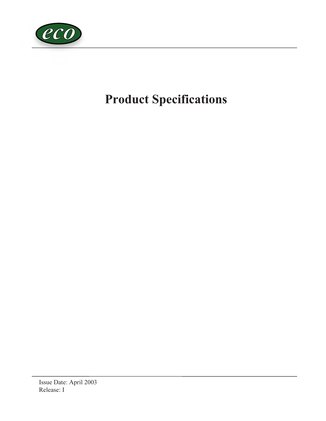

# Product Specifications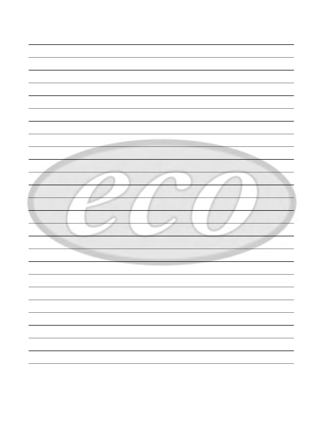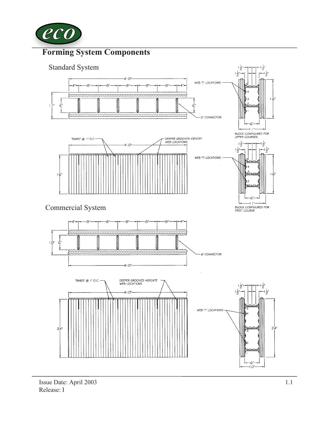

## Forming System Components



Issue Date: April 2003 Release: I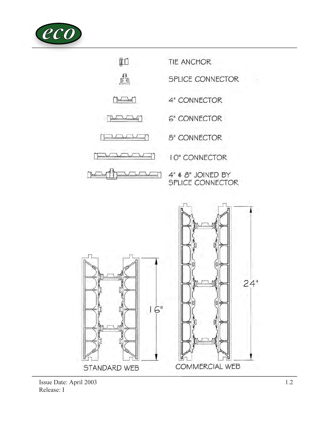





Issue Date: April 2003 Release: I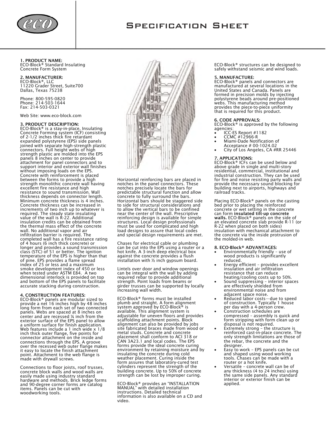

## Specification Sheet

#### 1. PRODUCT NAME: ECO-Block® Standard Insulating Concrete Form System

2. MANUFACTURER:

ECO-Block®, LLC 11220 Grader Street, Suite700 Dallas, Texas 75238

Phone: 800-595-0820 Phone: 214-503-1644 Fax: 214-503-0321

Web Site: www.eco-block.com

## 3. PRODUCT DESCRIPTION:

ECO-Block® is a stay-in-place, Insulating Concrete Forming system (ICF) consisting of 2-1/2 inches thick fire retardant expanded polystyrene (EPS) side panels joined with separate high-strength plastic connectors. Full height webs of high strength plastic are molded into the EPS panels 8 inches on center to provide attachment for panel connectors and to support interior and exterior wall finishes without imposing loads on the EPS. Concrete with reinforcement is placed between the forms to provide a high strength monolithic concrete wall having excellent fire resistance and high resistance to sound transmission. Wall thickness depends on connector length. Minimum concrete thickness is 4 inches. Concrete thickness can be increased in increments of two inch up to whatever is required. The steady state insulating value of the wall is R-22. Additional insulation credits can be obtained from the thermal mass effect of the concrete wall. No additional vapor and air infiltration barrier is required. The completed wall has a fire resistance rating of 4 hours (6 inch thick concrete) or longer and provides a sound transmission class (STC) of 51 or better. The ignition temperature of the EPS is higher than that of pine. EPS provides a flame spread index of 25 or less and a maximum smoke development index of 450 or less when tested under ASTM E84. A two dimensional interlock is provided on top and bottom of the EPS panels to facilitate accurate stacking during construction.

## 4. CONSTRUCTION FEATURES:

ECO-Block® panels are modular sized to provide a net 16 inches high by 48 inches long form from each set of two connected panels. Webs are spaced at 8 inches on center and are recessed ¼ inch from the exterior surface of the EPS panel to allow a uniform surface for finish application. Web features include a 1 inch wide x 1/8 inch thick outer flange, five points for connector attachment on the inside and connections through the EPS. A groove over the recessed web outer flange makes it easy to locate the finish attachment point. Attachment to the web flange is made with drywall screws.

Connections to floor joists, roof trusses, concrete block walls and wood walls are easily made using industry standard hardware and methods. Brick ledge forms and 90-degree corner forms are catalog items. Panels can be cut with woodworking tools.



Horizontal reinforcing bars are placed in notches in the panel connectors. These notches precisely locate the bars for predictable structural function and allow concrete to fully surround the bars. Horizontal bars should be staggered side to side for structural considerations and to allow the vertical bars to be confined near the center of the wall. Prescriptive reinforcing design is available for simple structures. Local design professionals must be used for complicated and high load designs to assure that local codes and special design requirements are met.

Chases for electrical cable or plumbing can be cut into the EPS using a router or a hot knife. A 3-inch deep electrical box against the concrete provides a flush installation with ½ inch gypsum board.

Lintels over door and window openings can be integral with the wall by adding required rebar to provide additional strength. Point loads from beams or girder trusses can be supported by locally increasing wall width.

ECO-Block® forms must be installed plumb and straight. A form alignment system approved by ECO-Block® is available. This alignment system is adjustable for uneven floors and provides scaffolding attachment points. Block alignment can also be provided by jobs site fabricated braces made from wood or metal studs. Concrete and concrete placement shall conform to ACI 318 or CAN 3A23.1 and local codes. The EPS forms provide the ideal concrete curing environment by retaining moisture and by insulating the concrete during cold weather placement. Curing inside the form assures that laboratory-cured test cylinders represent the strength of the building concrete. Up to 50% of concrete strength can be lost by improper curing.

ECO-Block® provides an "INSTALLATION MANUAL" with detailed installation instructions. Detailed technical information is also available on a CD and video.

ECO-Block® structures can be designed to safely withstand seismic and wind loads.

#### 5. MANUFACTURE:

ECO-Block® panels and connectors are manufactured at several locations in the United States and Canada. Panels are formed in precision molds by injecting polystyrene beads around pre-positioned webs. This manufacturing method provides the piece-to-piece uniformity that is required for this product.

## 6. CODE APPROVALS:

ECO-Block® is approved by the following agencies:

- ICC-ES Report #1182
- CCMC #12966-R • Miami-Dade Notification of
- Acceptance # 00-1024.02
- City of Los Angeles, CA #RR 25446

### 7. APPLICATIONS:

ECO-Block® ICFs can be used below and above grade in single and multi-story residential, commercial, institutional and industrial construction. They can be used for fire and noise resisting party walls and provide the necessary sound blocking for building next to airports, highways and railroad tracks.

Placing ECO-Block® panels on the casting bed prior to placing the reinforced concrete or wet setting in the concrete can form insulated tilt-up concrete walls. ECO-Block® panels on the side of an elevated concrete slab provide R-11 (or R-22 when placed on both sides) insulation with mechanical attachment to the concrete via the inside protrusion of the molded-in web.

## 8. ECO-Block® ADVANTAGES:

- Environmentally friendly use of wood products is significantly reduced.
- Energy efficient provides excellent insulation and air infiltration resistance that can reduce heating/cooling costs up to 50%.
- Sound suppressing interior spaces are effectively shielded from environmental noise and from adjacent space noise.
- Reduced labor costs—due to speed of construction. Typically 1 house
- per day with a 4-person crew. Construction schedules are compressed – assembly is quick and form stripping with form clean up or disposal is not required. • Extremely strong – the structure is
- reinforced cast-in-place concrete. The only strength limitations are those of the rebar, the concrete and the designer.
- Easy to work EPS panels can be cut and shaped using wood working tools. Chases can be made with a router or a hot knife.
- Versatile concrete wall can be of any thickness (4 to 24 inches) using the same side panels. Any standard interior or exterior finish can be applied.